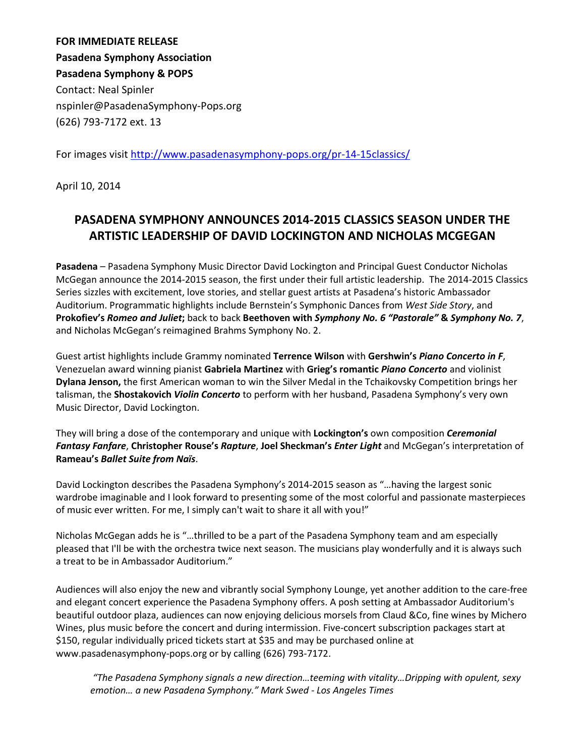**FOR IMMEDIATE RELEASE Pasadena Symphony Association Pasadena Symphony & POPS** Contact: Neal Spinler nspinler@PasadenaSymphony-Pops.org (626) 793-7172 ext. 13

For images visit <http://www.pasadenasymphony-pops.org/pr-14-15classics/>

April 10, 2014

# **PASADENA SYMPHONY ANNOUNCES 2014-2015 CLASSICS SEASON UNDER THE ARTISTIC LEADERSHIP OF DAVID LOCKINGTON AND NICHOLAS MCGEGAN**

**Pasadena** – Pasadena Symphony Music Director David Lockington and Principal Guest Conductor Nicholas McGegan announce the 2014-2015 season, the first under their full artistic leadership. The 2014-2015 Classics Series sizzles with excitement, love stories, and stellar guest artists at Pasadena's historic Ambassador Auditorium. Programmatic highlights include Bernstein's Symphonic Dances from *West Side Story*, and **Prokofiev's** *Romeo and Juliet***;** back to back **Beethoven with** *Symphony No. 6 "Pastorale"* **&** *Symphony No. 7*, and Nicholas McGegan's reimagined Brahms Symphony No. 2.

Guest artist highlights include Grammy nominated **Terrence Wilson** with **Gershwin's** *Piano Concerto in F*, Venezuelan award winning pianist **Gabriela Martinez** with **Grieg's romantic** *Piano Concerto* and violinist **Dylana Jenson,** the first American woman to win the Silver Medal in the Tchaikovsky Competition brings her talisman, the **Shostakovich** *Violin Concerto* to perform with her husband, Pasadena Symphony's very own Music Director, David Lockington.

They will bring a dose of the contemporary and unique with **Lockington's** own composition *Ceremonial Fantasy Fanfare*, **Christopher Rouse's** *Rapture*, **Joel Sheckman's** *Enter Light* and McGegan's interpretation of **Rameau's** *Ballet Suite from Naïs*.

David Lockington describes the Pasadena Symphony's 2014-2015 season as "…having the largest sonic wardrobe imaginable and I look forward to presenting some of the most colorful and passionate masterpieces of music ever written. For me, I simply can't wait to share it all with you!"

Nicholas McGegan adds he is "…thrilled to be a part of the Pasadena Symphony team and am especially pleased that I'll be with the orchestra twice next season. The musicians play wonderfully and it is always such a treat to be in Ambassador Auditorium."

Audiences will also enjoy the new and vibrantly social Symphony Lounge, yet another addition to the care-free and elegant concert experience the Pasadena Symphony offers. A posh setting at Ambassador Auditorium's beautiful outdoor plaza, audiences can now enjoying delicious morsels from Claud &Co, fine wines by Michero Wines, plus music before the concert and during intermission. Five-concert subscription packages start at \$150, regular individually priced tickets start at \$35 and may be purchased online at www.pasadenasymphony-pops.org or by calling (626) 793-7172.

*"The Pasadena Symphony signals a new direction…teeming with vitality…Dripping with opulent, sexy emotion… a new Pasadena Symphony." Mark Swed - Los Angeles Times*